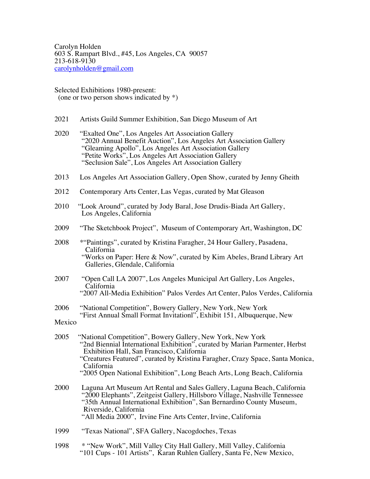Carolyn Holden 603 S. Rampart Blvd., #45, Los Angeles, CA 90057 213-618-9130 carolynholden@gmail.com

Selected Exhibitions 1980-present: (one or two person shows indicated by \*)

- 2021 Artists Guild Summer Exhibition, San Diego Museum of Art
- 2020 "Exalted One", Los Angeles Art Association Gallery "2020 Annual Benefit Auction", Los Angeles Art Association Gallery "Gleaming Apollo", Los Angeles Art Association Gallery "Petite Works", Los Angeles Art Association Gallery "Seclusion Sale", Los Angeles Art Association Gallery
- 2013 Los Angeles Art Association Gallery, Open Show, curated by Jenny Gheith
- 2012 Contemporary Arts Center, Las Vegas, curated by Mat Gleason
- 2010 "Look Around", curated by Jody Baral, Jose Drudis-Biada Art Gallery, Los Angeles, California
- 2009 "The Sketchbook Project", Museum of Contemporary Art, Washington, DC<br>2008 "A "Paintings" curated by Kristina Faragher, 24 Hour Gallery, Pasadena.
- \*"Paintings", curated by Kristina Faragher, 24 Hour Gallery, Pasadena, California "Works on Paper: Here & Now", curated by Kim Abeles, Brand Library Art Galleries, Glendale, California
- 2007 "Open Call LA 2007", Los Angeles Municipal Art Gallery, Los Angeles, California "2007 All-Media Exhibition" Palos Verdes Art Center, Palos Verdes, California
- 2006 "National Competition", Bowery Gallery, New York, New York "First Annual Small Format Invitationl", Exhibit 151, Albuquerque, New

Mexico

- 2005 "National Competition", Bowery Gallery, New York, New York "2nd Biennial International Exhibition", curated by Marian Parmenter, Herbst Exhibition Hall, San Francisco, California "Creatures Featured", curated by Kristina Faragher, Crazy Space, Santa Monica, California
	- "2005 Open National Exhibition", Long Beach Arts, Long Beach, California
- 2000 Laguna Art Museum Art Rental and Sales Gallery, Laguna Beach, California "2000 Elephants", Zeitgeist Gallery, Hillsboro Village, Nashville Tennessee "35th Annual International Exhibition", San Bernardino County Museum, "All Media 2000", Irvine Fine Arts Center, Irvine, California<br>1999 "Texas National". SFA Gallery. Nacogdoches. Texas
- "Texas National", SFA Gallery, Nacogdoches, Texas
- 1998 \* "New Work", Mill Valley City Hall Gallery, Mill Valley, California "101 Cups - 101 Artists", Karan Ruhlen Gallery, Santa Fe, New Mexico,